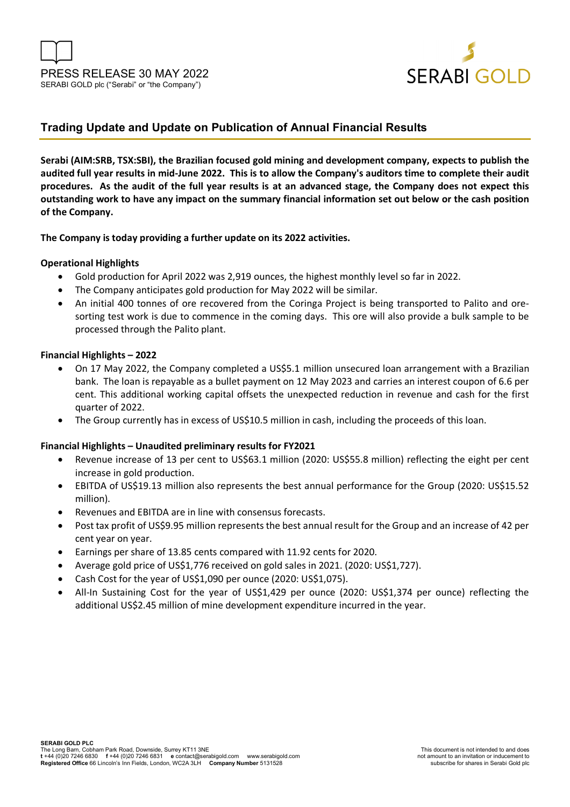



## **Trading Update and Update on Publication of Annual Financial Results**

**Serabi (AIM:SRB, TSX:SBI), the Brazilian focused gold mining and development company, expects to publish the audited full year results in mid-June 2022. This is to allow the Company's auditors time to complete their audit procedures. As the audit of the full year results is at an advanced stage, the Company does not expect this outstanding work to have any impact on the summary financial information set out below or the cash position of the Company.** 

**The Company is today providing a further update on its 2022 activities.** 

### **Operational Highlights**

- Gold production for April 2022 was 2,919 ounces, the highest monthly level so far in 2022.
- The Company anticipates gold production for May 2022 will be similar.
- An initial 400 tonnes of ore recovered from the Coringa Project is being transported to Palito and oresorting test work is due to commence in the coming days. This ore will also provide a bulk sample to be processed through the Palito plant.

### **Financial Highlights – 2022**

- On 17 May 2022, the Company completed a US\$5.1 million unsecured loan arrangement with a Brazilian bank. The loan is repayable as a bullet payment on 12 May 2023 and carries an interest coupon of 6.6 per cent. This additional working capital offsets the unexpected reduction in revenue and cash for the first quarter of 2022.
- The Group currently has in excess of US\$10.5 million in cash, including the proceeds of this loan.

### **Financial Highlights – Unaudited preliminary results for FY2021**

- Revenue increase of 13 per cent to US\$63.1 million (2020: US\$55.8 million) reflecting the eight per cent increase in gold production.
- EBITDA of US\$19.13 million also represents the best annual performance for the Group (2020: US\$15.52 million).
- Revenues and EBITDA are in line with consensus forecasts.
- Post tax profit of US\$9.95 million represents the best annual result for the Group and an increase of 42 per cent year on year.
- Earnings per share of 13.85 cents compared with 11.92 cents for 2020.
- Average gold price of US\$1,776 received on gold sales in 2021. (2020: US\$1,727).
- Cash Cost for the year of US\$1,090 per ounce (2020: US\$1,075).
- All-In Sustaining Cost for the year of US\$1,429 per ounce (2020: US\$1,374 per ounce) reflecting the additional US\$2.45 million of mine development expenditure incurred in the year.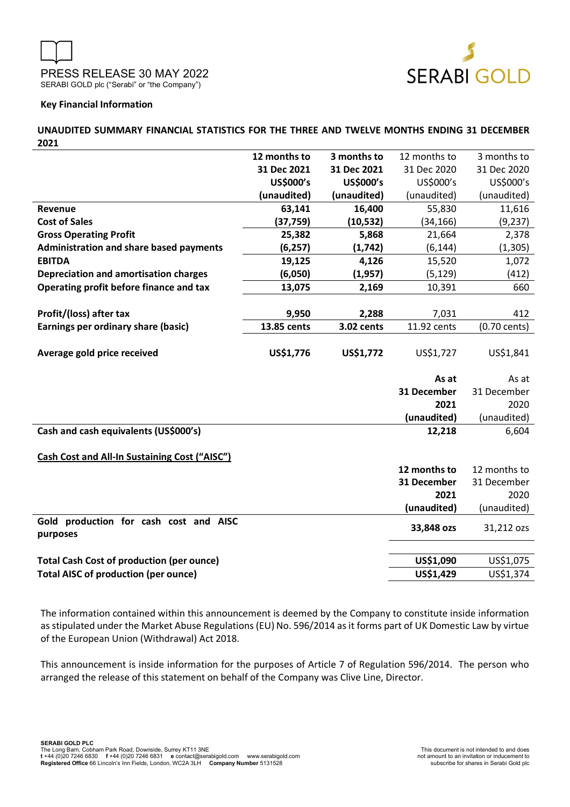

### **Key Financial Information**

**UNAUDITED SUMMARY FINANCIAL STATISTICS FOR THE THREE AND TWELVE MONTHS ENDING 31 DECEMBER 2021** 

|                                                                                                 | 12 months to | 3 months to | 12 months to           | 3 months to            |
|-------------------------------------------------------------------------------------------------|--------------|-------------|------------------------|------------------------|
|                                                                                                 | 31 Dec 2021  | 31 Dec 2021 | 31 Dec 2020            | 31 Dec 2020            |
|                                                                                                 | US\$000's    | US\$000's   | US\$000's              | US\$000's              |
|                                                                                                 | (unaudited)  | (unaudited) | (unaudited)            | (unaudited)            |
| Revenue                                                                                         | 63,141       | 16,400      | 55,830                 | 11,616                 |
| <b>Cost of Sales</b>                                                                            | (37, 759)    | (10, 532)   | (34, 166)              | (9, 237)               |
| <b>Gross Operating Profit</b>                                                                   | 25,382       | 5,868       | 21,664                 | 2,378                  |
| <b>Administration and share based payments</b>                                                  | (6, 257)     | (1,742)     | (6, 144)               | (1, 305)               |
| <b>EBITDA</b>                                                                                   | 19,125       | 4,126       | 15,520                 | 1,072                  |
| Depreciation and amortisation charges                                                           | (6,050)      | (1, 957)    | (5, 129)               | (412)                  |
| Operating profit before finance and tax                                                         | 13,075       | 2,169       | 10,391                 | 660                    |
|                                                                                                 |              |             |                        |                        |
| Profit/(loss) after tax                                                                         | 9,950        | 2,288       | 7,031                  | 412                    |
| Earnings per ordinary share (basic)                                                             | 13.85 cents  | 3.02 cents  | 11.92 cents            | (0.70 cents)           |
|                                                                                                 |              |             |                        |                        |
| Average gold price received                                                                     | US\$1,776    | US\$1,772   | US\$1,727              | US\$1,841              |
|                                                                                                 |              |             |                        |                        |
|                                                                                                 |              |             |                        |                        |
|                                                                                                 |              |             | As at                  | As at                  |
|                                                                                                 |              |             | 31 December            | 31 December            |
|                                                                                                 |              |             | 2021                   | 2020                   |
|                                                                                                 |              |             | (unaudited)            | (unaudited)            |
| Cash and cash equivalents (US\$000's)                                                           |              |             | 12,218                 | 6,604                  |
|                                                                                                 |              |             |                        |                        |
| Cash Cost and All-In Sustaining Cost ("AISC")                                                   |              |             |                        |                        |
|                                                                                                 |              |             | 12 months to           | 12 months to           |
|                                                                                                 |              |             | 31 December            | 31 December            |
|                                                                                                 |              |             | 2021                   | 2020                   |
|                                                                                                 |              |             | (unaudited)            | (unaudited)            |
| Gold production for cash cost and AISC                                                          |              |             | 33,848 ozs             | 31,212 ozs             |
| purposes                                                                                        |              |             |                        |                        |
|                                                                                                 |              |             |                        |                        |
| <b>Total Cash Cost of production (per ounce)</b><br><b>Total AISC of production (per ounce)</b> |              |             | US\$1,090<br>US\$1,429 | US\$1,075<br>US\$1,374 |

The information contained within this announcement is deemed by the Company to constitute inside information as stipulated under the Market Abuse Regulations (EU) No. 596/2014 as it forms part of UK Domestic Law by virtue of the European Union (Withdrawal) Act 2018.

This announcement is inside information for the purposes of Article 7 of Regulation 596/2014. The person who arranged the release of this statement on behalf of the Company was Clive Line, Director.